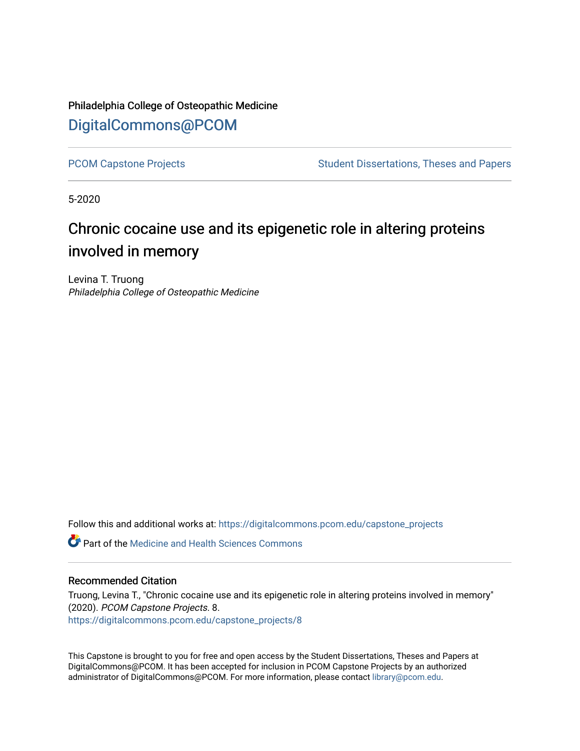## Philadelphia College of Osteopathic Medicine [DigitalCommons@PCOM](https://digitalcommons.pcom.edu/)

[PCOM Capstone Projects](https://digitalcommons.pcom.edu/capstone_projects) **Student Dissertations, Theses and Papers** Student Dissertations, Theses and Papers

5-2020

## Chronic cocaine use and its epigenetic role in altering proteins involved in memory

Levina T. Truong Philadelphia College of Osteopathic Medicine

Follow this and additional works at: [https://digitalcommons.pcom.edu/capstone\\_projects](https://digitalcommons.pcom.edu/capstone_projects?utm_source=digitalcommons.pcom.edu%2Fcapstone_projects%2F8&utm_medium=PDF&utm_campaign=PDFCoverPages)

 $\bullet$  Part of the Medicine and Health Sciences Commons

#### Recommended Citation

Truong, Levina T., "Chronic cocaine use and its epigenetic role in altering proteins involved in memory" (2020). PCOM Capstone Projects. 8. [https://digitalcommons.pcom.edu/capstone\\_projects/8](https://digitalcommons.pcom.edu/capstone_projects/8?utm_source=digitalcommons.pcom.edu%2Fcapstone_projects%2F8&utm_medium=PDF&utm_campaign=PDFCoverPages) 

This Capstone is brought to you for free and open access by the Student Dissertations, Theses and Papers at DigitalCommons@PCOM. It has been accepted for inclusion in PCOM Capstone Projects by an authorized administrator of DigitalCommons@PCOM. For more information, please contact [library@pcom.edu.](mailto:library@pcom.edu)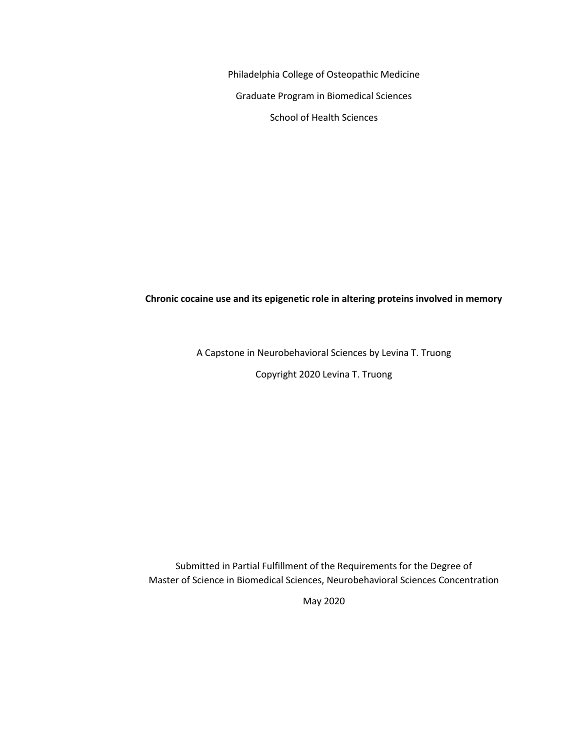Philadelphia College of Osteopathic Medicine Graduate Program in Biomedical Sciences School of Health Sciences

#### **Chronic cocaine use and its epigenetic role in altering proteins involved in memory**

A Capstone in Neurobehavioral Sciences by Levina T. Truong

Copyright 2020 Levina T. Truong

Submitted in Partial Fulfillment of the Requirements for the Degree of Master of Science in Biomedical Sciences, Neurobehavioral Sciences Concentration

May 2020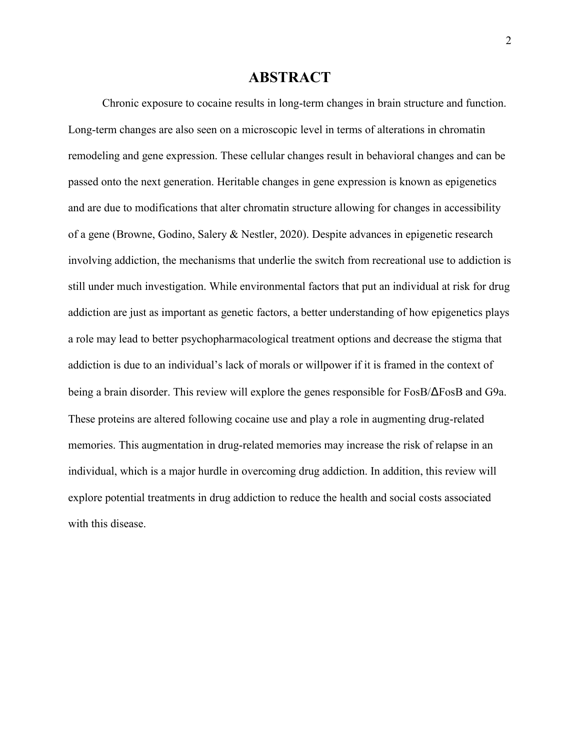### **ABSTRACT**

Chronic exposure to cocaine results in long-term changes in brain structure and function. Long-term changes are also seen on a microscopic level in terms of alterations in chromatin remodeling and gene expression. These cellular changes result in behavioral changes and can be passed onto the next generation. Heritable changes in gene expression is known as epigenetics and are due to modifications that alter chromatin structure allowing for changes in accessibility of a gene (Browne, Godino, Salery & Nestler, 2020). Despite advances in epigenetic research involving addiction, the mechanisms that underlie the switch from recreational use to addiction is still under much investigation. While environmental factors that put an individual at risk for drug addiction are just as important as genetic factors, a better understanding of how epigenetics plays a role may lead to better psychopharmacological treatment options and decrease the stigma that addiction is due to an individual's lack of morals or willpower if it is framed in the context of being a brain disorder. This review will explore the genes responsible for FosB/ΔFosB and G9a. These proteins are altered following cocaine use and play a role in augmenting drug-related memories. This augmentation in drug-related memories may increase the risk of relapse in an individual, which is a major hurdle in overcoming drug addiction. In addition, this review will explore potential treatments in drug addiction to reduce the health and social costs associated with this disease.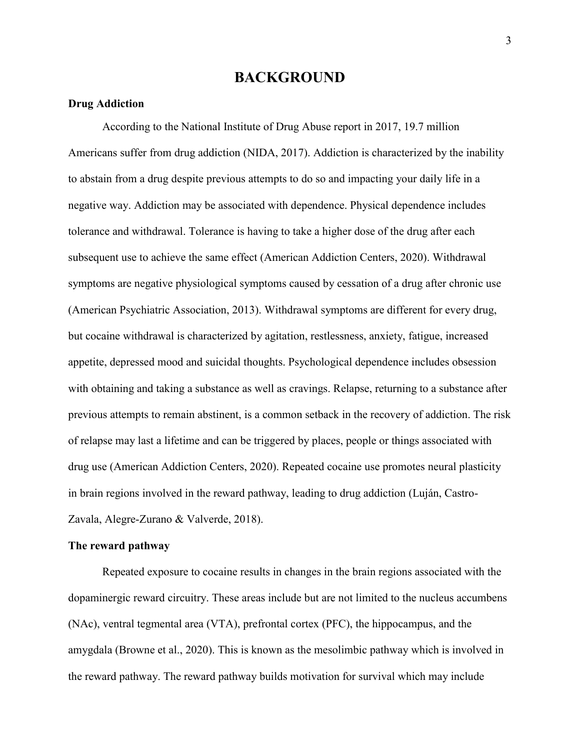## **BACKGROUND**

#### **Drug Addiction**

According to the National Institute of Drug Abuse report in 2017, 19.7 million Americans suffer from drug addiction (NIDA, 2017). Addiction is characterized by the inability to abstain from a drug despite previous attempts to do so and impacting your daily life in a negative way. Addiction may be associated with dependence. Physical dependence includes tolerance and withdrawal. Tolerance is having to take a higher dose of the drug after each subsequent use to achieve the same effect (American Addiction Centers, 2020). Withdrawal symptoms are negative physiological symptoms caused by cessation of a drug after chronic use (American Psychiatric Association, 2013). Withdrawal symptoms are different for every drug, but cocaine withdrawal is characterized by agitation, restlessness, anxiety, fatigue, increased appetite, depressed mood and suicidal thoughts. Psychological dependence includes obsession with obtaining and taking a substance as well as cravings. Relapse, returning to a substance after previous attempts to remain abstinent, is a common setback in the recovery of addiction. The risk of relapse may last a lifetime and can be triggered by places, people or things associated with drug use (American Addiction Centers, 2020). Repeated cocaine use promotes neural plasticity in brain regions involved in the reward pathway, leading to drug addiction (Luján, Castro-Zavala, Alegre-Zurano & Valverde, 2018).

#### **The reward pathway**

Repeated exposure to cocaine results in changes in the brain regions associated with the dopaminergic reward circuitry. These areas include but are not limited to the nucleus accumbens (NAc), ventral tegmental area (VTA), prefrontal cortex (PFC), the hippocampus, and the amygdala (Browne et al., 2020). This is known as the mesolimbic pathway which is involved in the reward pathway. The reward pathway builds motivation for survival which may include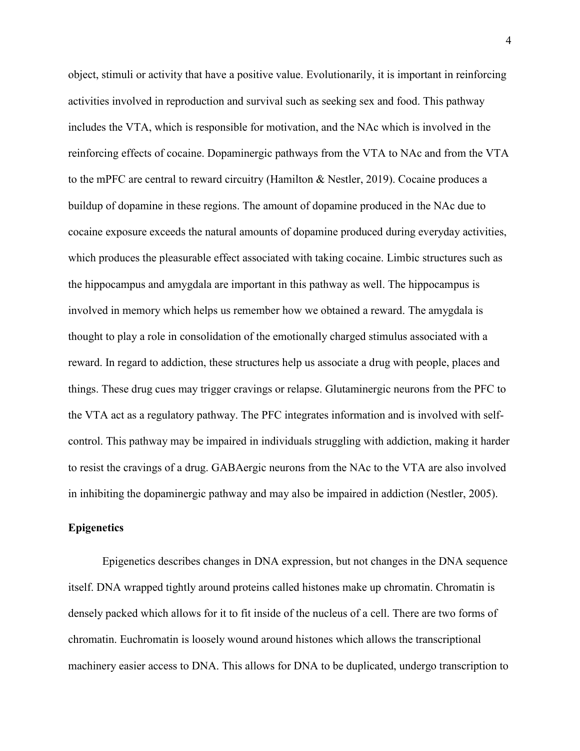object, stimuli or activity that have a positive value. Evolutionarily, it is important in reinforcing activities involved in reproduction and survival such as seeking sex and food. This pathway includes the VTA, which is responsible for motivation, and the NAc which is involved in the reinforcing effects of cocaine. Dopaminergic pathways from the VTA to NAc and from the VTA to the mPFC are central to reward circuitry (Hamilton & Nestler, 2019). Cocaine produces a buildup of dopamine in these regions. The amount of dopamine produced in the NAc due to cocaine exposure exceeds the natural amounts of dopamine produced during everyday activities, which produces the pleasurable effect associated with taking cocaine. Limbic structures such as the hippocampus and amygdala are important in this pathway as well. The hippocampus is involved in memory which helps us remember how we obtained a reward. The amygdala is thought to play a role in consolidation of the emotionally charged stimulus associated with a reward. In regard to addiction, these structures help us associate a drug with people, places and things. These drug cues may trigger cravings or relapse. Glutaminergic neurons from the PFC to the VTA act as a regulatory pathway. The PFC integrates information and is involved with selfcontrol. This pathway may be impaired in individuals struggling with addiction, making it harder to resist the cravings of a drug. GABAergic neurons from the NAc to the VTA are also involved in inhibiting the dopaminergic pathway and may also be impaired in addiction (Nestler, 2005).

#### **Epigenetics**

Epigenetics describes changes in DNA expression, but not changes in the DNA sequence itself. DNA wrapped tightly around proteins called histones make up chromatin. Chromatin is densely packed which allows for it to fit inside of the nucleus of a cell. There are two forms of chromatin. Euchromatin is loosely wound around histones which allows the transcriptional machinery easier access to DNA. This allows for DNA to be duplicated, undergo transcription to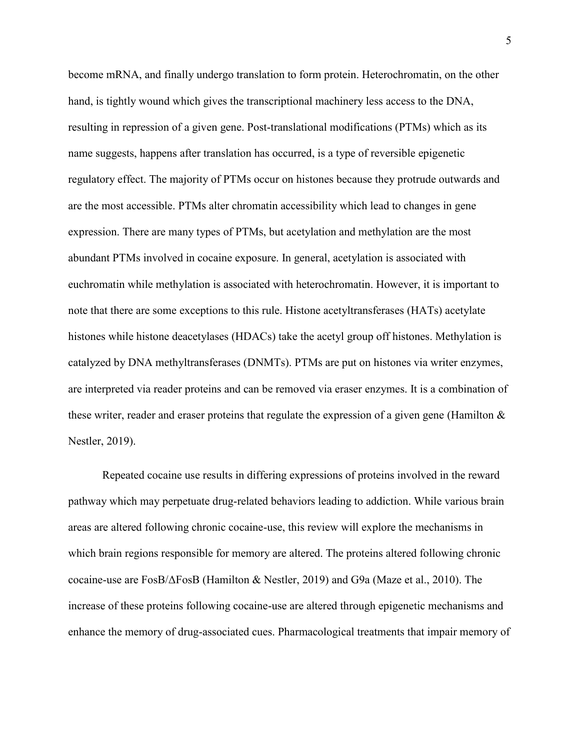become mRNA, and finally undergo translation to form protein. Heterochromatin, on the other hand, is tightly wound which gives the transcriptional machinery less access to the DNA, resulting in repression of a given gene. Post-translational modifications (PTMs) which as its name suggests, happens after translation has occurred, is a type of reversible epigenetic regulatory effect. The majority of PTMs occur on histones because they protrude outwards and are the most accessible. PTMs alter chromatin accessibility which lead to changes in gene expression. There are many types of PTMs, but acetylation and methylation are the most abundant PTMs involved in cocaine exposure. In general, acetylation is associated with euchromatin while methylation is associated with heterochromatin. However, it is important to note that there are some exceptions to this rule. Histone acetyltransferases (HATs) acetylate histones while histone deacetylases (HDACs) take the acetyl group off histones. Methylation is catalyzed by DNA methyltransferases (DNMTs). PTMs are put on histones via writer enzymes, are interpreted via reader proteins and can be removed via eraser enzymes. It is a combination of these writer, reader and eraser proteins that regulate the expression of a given gene (Hamilton  $\&$ Nestler, 2019).

Repeated cocaine use results in differing expressions of proteins involved in the reward pathway which may perpetuate drug-related behaviors leading to addiction. While various brain areas are altered following chronic cocaine-use, this review will explore the mechanisms in which brain regions responsible for memory are altered. The proteins altered following chronic cocaine-use are FosB/ΔFosB (Hamilton & Nestler, 2019) and G9a (Maze et al., 2010). The increase of these proteins following cocaine-use are altered through epigenetic mechanisms and enhance the memory of drug-associated cues. Pharmacological treatments that impair memory of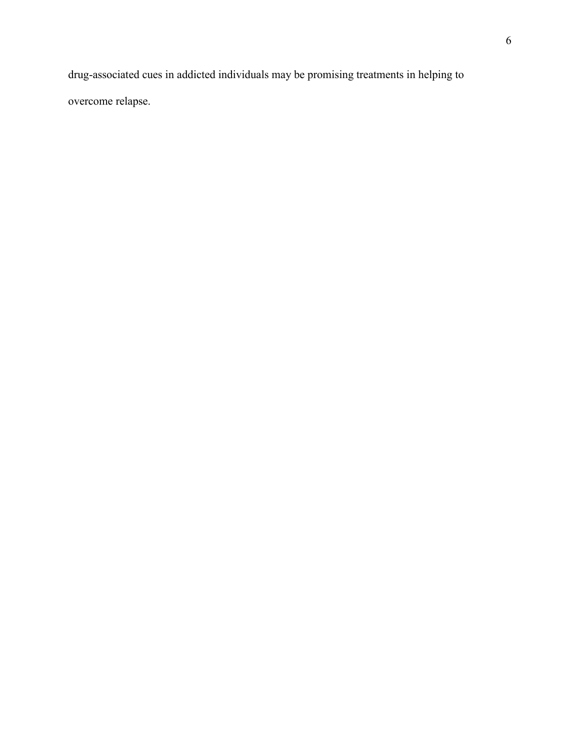drug-associated cues in addicted individuals may be promising treatments in helping to overcome relapse.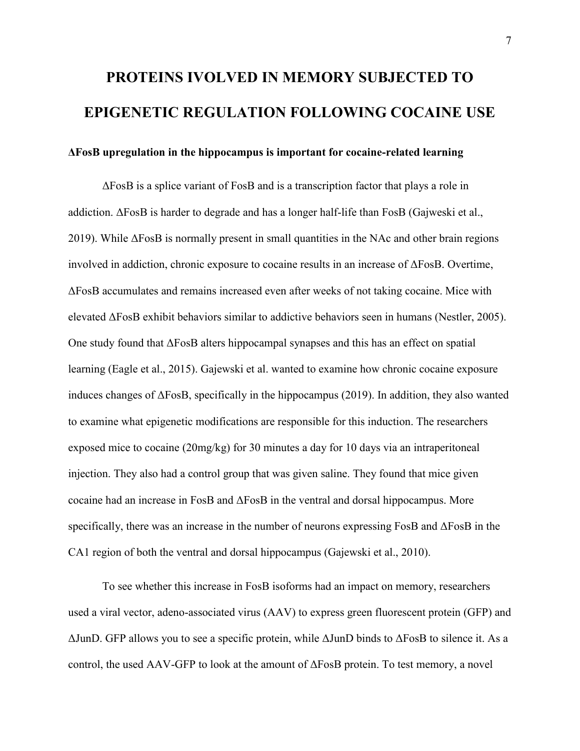# **PROTEINS IVOLVED IN MEMORY SUBJECTED TO EPIGENETIC REGULATION FOLLOWING COCAINE USE**

#### **ΔFosB upregulation in the hippocampus is important for cocaine-related learning**

ΔFosB is a splice variant of FosB and is a transcription factor that plays a role in addiction. ΔFosB is harder to degrade and has a longer half-life than FosB (Gajweski et al., 2019). While ΔFosB is normally present in small quantities in the NAc and other brain regions involved in addiction, chronic exposure to cocaine results in an increase of ΔFosB. Overtime, ΔFosB accumulates and remains increased even after weeks of not taking cocaine. Mice with elevated ΔFosB exhibit behaviors similar to addictive behaviors seen in humans (Nestler, 2005). One study found that ΔFosB alters hippocampal synapses and this has an effect on spatial learning (Eagle et al., 2015). Gajewski et al. wanted to examine how chronic cocaine exposure induces changes of ΔFosB, specifically in the hippocampus (2019). In addition, they also wanted to examine what epigenetic modifications are responsible for this induction. The researchers exposed mice to cocaine (20mg/kg) for 30 minutes a day for 10 days via an intraperitoneal injection. They also had a control group that was given saline. They found that mice given cocaine had an increase in FosB and ΔFosB in the ventral and dorsal hippocampus. More specifically, there was an increase in the number of neurons expressing FosB and ΔFosB in the CA1 region of both the ventral and dorsal hippocampus (Gajewski et al., 2010).

To see whether this increase in FosB isoforms had an impact on memory, researchers used a viral vector, adeno-associated virus (AAV) to express green fluorescent protein (GFP) and ΔJunD. GFP allows you to see a specific protein, while ΔJunD binds to ΔFosB to silence it. As a control, the used AAV-GFP to look at the amount of ΔFosB protein. To test memory, a novel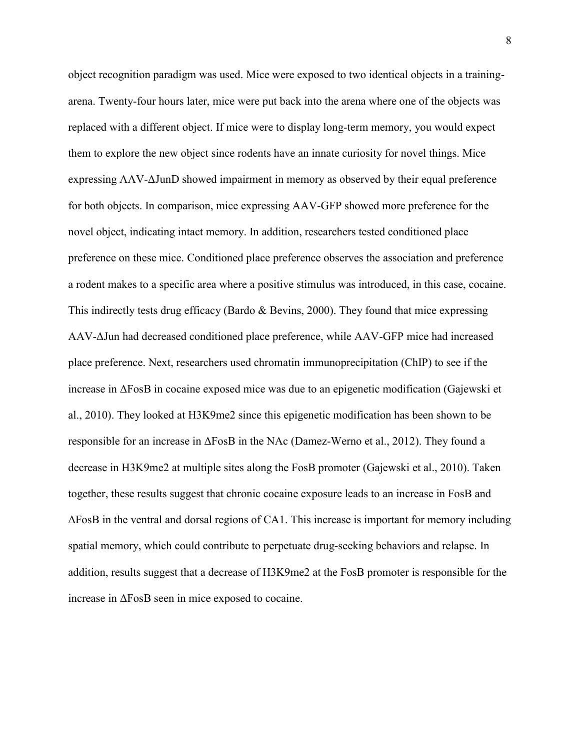object recognition paradigm was used. Mice were exposed to two identical objects in a trainingarena. Twenty-four hours later, mice were put back into the arena where one of the objects was replaced with a different object. If mice were to display long-term memory, you would expect them to explore the new object since rodents have an innate curiosity for novel things. Mice expressing AAV-ΔJunD showed impairment in memory as observed by their equal preference for both objects. In comparison, mice expressing AAV-GFP showed more preference for the novel object, indicating intact memory. In addition, researchers tested conditioned place preference on these mice. Conditioned place preference observes the association and preference a rodent makes to a specific area where a positive stimulus was introduced, in this case, cocaine. This indirectly tests drug efficacy (Bardo & Bevins, 2000). They found that mice expressing AAV-ΔJun had decreased conditioned place preference, while AAV-GFP mice had increased place preference. Next, researchers used chromatin immunoprecipitation (ChIP) to see if the increase in ΔFosB in cocaine exposed mice was due to an epigenetic modification (Gajewski et al., 2010). They looked at H3K9me2 since this epigenetic modification has been shown to be responsible for an increase in ΔFosB in the NAc (Damez-Werno et al., 2012). They found a decrease in H3K9me2 at multiple sites along the FosB promoter (Gajewski et al., 2010). Taken together, these results suggest that chronic cocaine exposure leads to an increase in FosB and ΔFosB in the ventral and dorsal regions of CA1. This increase is important for memory including spatial memory, which could contribute to perpetuate drug-seeking behaviors and relapse. In addition, results suggest that a decrease of H3K9me2 at the FosB promoter is responsible for the increase in ΔFosB seen in mice exposed to cocaine.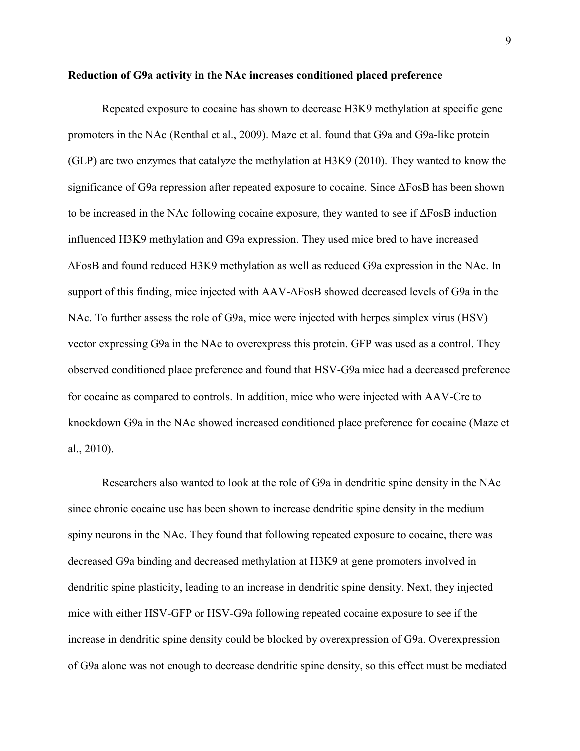#### **Reduction of G9a activity in the NAc increases conditioned placed preference**

Repeated exposure to cocaine has shown to decrease H3K9 methylation at specific gene promoters in the NAc (Renthal et al., 2009). Maze et al. found that G9a and G9a-like protein (GLP) are two enzymes that catalyze the methylation at H3K9 (2010). They wanted to know the significance of G9a repression after repeated exposure to cocaine. Since ΔFosB has been shown to be increased in the NAc following cocaine exposure, they wanted to see if ΔFosB induction influenced H3K9 methylation and G9a expression. They used mice bred to have increased ΔFosB and found reduced H3K9 methylation as well as reduced G9a expression in the NAc. In support of this finding, mice injected with AAV-ΔFosB showed decreased levels of G9a in the NAc. To further assess the role of G9a, mice were injected with herpes simplex virus (HSV) vector expressing G9a in the NAc to overexpress this protein. GFP was used as a control. They observed conditioned place preference and found that HSV-G9a mice had a decreased preference for cocaine as compared to controls. In addition, mice who were injected with AAV-Cre to knockdown G9a in the NAc showed increased conditioned place preference for cocaine (Maze et al., 2010).

Researchers also wanted to look at the role of G9a in dendritic spine density in the NAc since chronic cocaine use has been shown to increase dendritic spine density in the medium spiny neurons in the NAc. They found that following repeated exposure to cocaine, there was decreased G9a binding and decreased methylation at H3K9 at gene promoters involved in dendritic spine plasticity, leading to an increase in dendritic spine density. Next, they injected mice with either HSV-GFP or HSV-G9a following repeated cocaine exposure to see if the increase in dendritic spine density could be blocked by overexpression of G9a. Overexpression of G9a alone was not enough to decrease dendritic spine density, so this effect must be mediated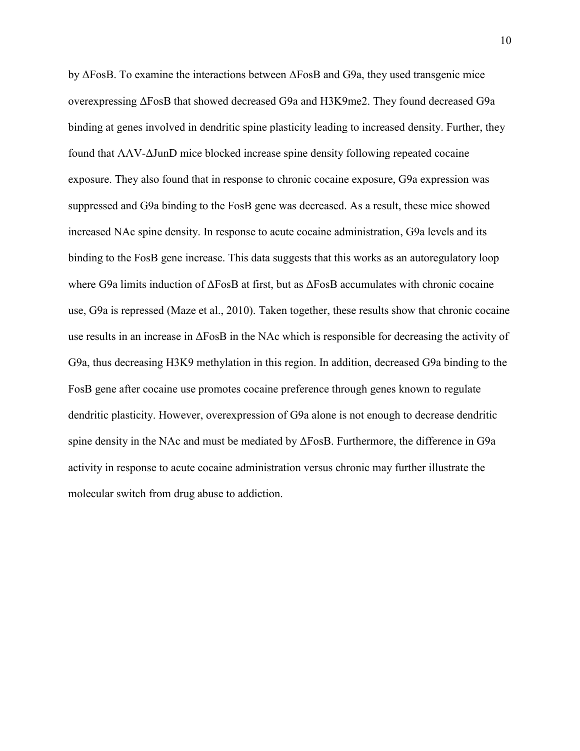by ΔFosB. To examine the interactions between ΔFosB and G9a, they used transgenic mice overexpressing ΔFosB that showed decreased G9a and H3K9me2. They found decreased G9a binding at genes involved in dendritic spine plasticity leading to increased density. Further, they found that AAV-ΔJunD mice blocked increase spine density following repeated cocaine exposure. They also found that in response to chronic cocaine exposure, G9a expression was suppressed and G9a binding to the FosB gene was decreased. As a result, these mice showed increased NAc spine density. In response to acute cocaine administration, G9a levels and its binding to the FosB gene increase. This data suggests that this works as an autoregulatory loop where G9a limits induction of ΔFosB at first, but as ΔFosB accumulates with chronic cocaine use, G9a is repressed (Maze et al., 2010). Taken together, these results show that chronic cocaine use results in an increase in ΔFosB in the NAc which is responsible for decreasing the activity of G9a, thus decreasing H3K9 methylation in this region. In addition, decreased G9a binding to the FosB gene after cocaine use promotes cocaine preference through genes known to regulate dendritic plasticity. However, overexpression of G9a alone is not enough to decrease dendritic spine density in the NAc and must be mediated by ΔFosB. Furthermore, the difference in G9a activity in response to acute cocaine administration versus chronic may further illustrate the molecular switch from drug abuse to addiction.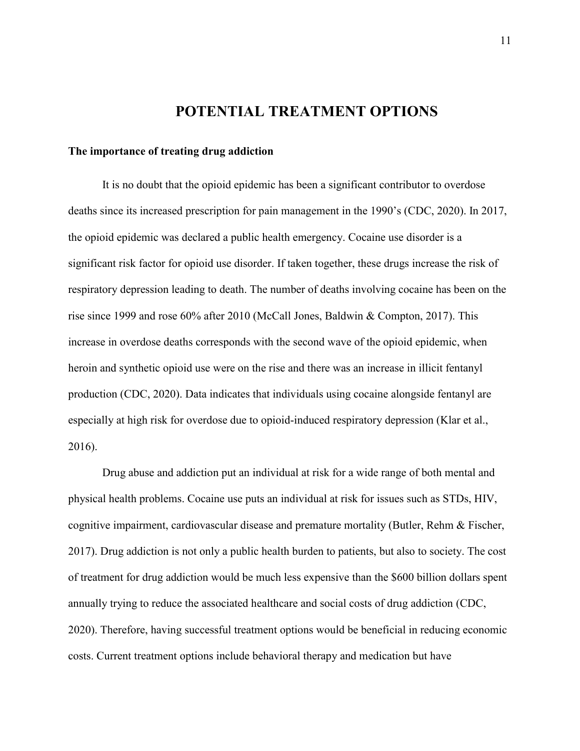## **POTENTIAL TREATMENT OPTIONS**

#### **The importance of treating drug addiction**

It is no doubt that the opioid epidemic has been a significant contributor to overdose deaths since its increased prescription for pain management in the 1990's (CDC, 2020). In 2017, the opioid epidemic was declared a public health emergency. Cocaine use disorder is a significant risk factor for opioid use disorder. If taken together, these drugs increase the risk of respiratory depression leading to death. The number of deaths involving cocaine has been on the rise since 1999 and rose 60% after 2010 (McCall Jones, Baldwin & Compton, 2017). This increase in overdose deaths corresponds with the second wave of the opioid epidemic, when heroin and synthetic opioid use were on the rise and there was an increase in illicit fentanyl production (CDC, 2020). Data indicates that individuals using cocaine alongside fentanyl are especially at high risk for overdose due to opioid-induced respiratory depression (Klar et al., 2016).

Drug abuse and addiction put an individual at risk for a wide range of both mental and physical health problems. Cocaine use puts an individual at risk for issues such as STDs, HIV, cognitive impairment, cardiovascular disease and premature mortality (Butler, Rehm & Fischer, 2017). Drug addiction is not only a public health burden to patients, but also to society. The cost of treatment for drug addiction would be much less expensive than the \$600 billion dollars spent annually trying to reduce the associated healthcare and social costs of drug addiction (CDC, 2020). Therefore, having successful treatment options would be beneficial in reducing economic costs. Current treatment options include behavioral therapy and medication but have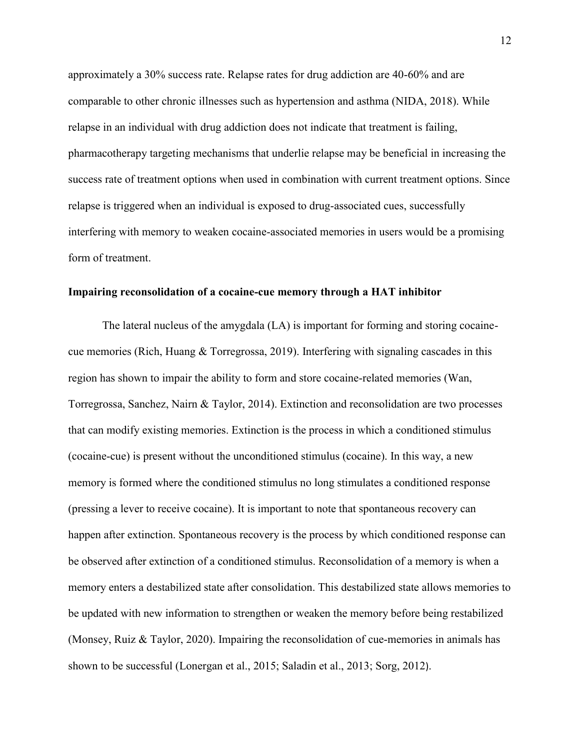approximately a 30% success rate. Relapse rates for drug addiction are 40-60% and are comparable to other chronic illnesses such as hypertension and asthma (NIDA, 2018). While relapse in an individual with drug addiction does not indicate that treatment is failing, pharmacotherapy targeting mechanisms that underlie relapse may be beneficial in increasing the success rate of treatment options when used in combination with current treatment options. Since relapse is triggered when an individual is exposed to drug-associated cues, successfully interfering with memory to weaken cocaine-associated memories in users would be a promising form of treatment.

#### **Impairing reconsolidation of a cocaine-cue memory through a HAT inhibitor**

The lateral nucleus of the amygdala (LA) is important for forming and storing cocainecue memories (Rich, Huang & Torregrossa, 2019). Interfering with signaling cascades in this region has shown to impair the ability to form and store cocaine-related memories (Wan, Torregrossa, Sanchez, Nairn & Taylor, 2014). Extinction and reconsolidation are two processes that can modify existing memories. Extinction is the process in which a conditioned stimulus (cocaine-cue) is present without the unconditioned stimulus (cocaine). In this way, a new memory is formed where the conditioned stimulus no long stimulates a conditioned response (pressing a lever to receive cocaine). It is important to note that spontaneous recovery can happen after extinction. Spontaneous recovery is the process by which conditioned response can be observed after extinction of a conditioned stimulus. Reconsolidation of a memory is when a memory enters a destabilized state after consolidation. This destabilized state allows memories to be updated with new information to strengthen or weaken the memory before being restabilized (Monsey, Ruiz & Taylor, 2020). Impairing the reconsolidation of cue-memories in animals has shown to be successful (Lonergan et al., 2015; Saladin et al., 2013; Sorg, 2012).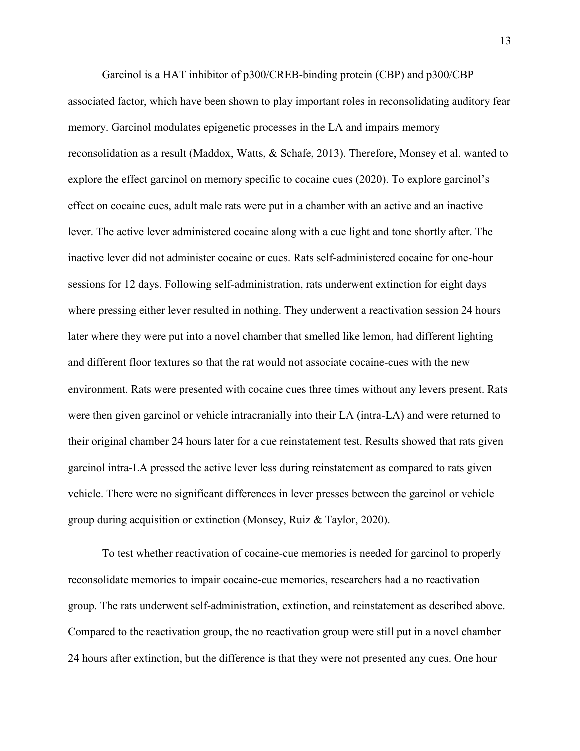Garcinol is a HAT inhibitor of p300/CREB-binding protein (CBP) and p300/CBP associated factor, which have been shown to play important roles in reconsolidating auditory fear memory. Garcinol modulates epigenetic processes in the LA and impairs memory reconsolidation as a result (Maddox, Watts, & Schafe, 2013). Therefore, Monsey et al. wanted to explore the effect garcinol on memory specific to cocaine cues (2020). To explore garcinol's effect on cocaine cues, adult male rats were put in a chamber with an active and an inactive lever. The active lever administered cocaine along with a cue light and tone shortly after. The inactive lever did not administer cocaine or cues. Rats self-administered cocaine for one-hour sessions for 12 days. Following self-administration, rats underwent extinction for eight days where pressing either lever resulted in nothing. They underwent a reactivation session 24 hours later where they were put into a novel chamber that smelled like lemon, had different lighting and different floor textures so that the rat would not associate cocaine-cues with the new environment. Rats were presented with cocaine cues three times without any levers present. Rats were then given garcinol or vehicle intracranially into their LA (intra-LA) and were returned to their original chamber 24 hours later for a cue reinstatement test. Results showed that rats given garcinol intra-LA pressed the active lever less during reinstatement as compared to rats given vehicle. There were no significant differences in lever presses between the garcinol or vehicle group during acquisition or extinction (Monsey, Ruiz & Taylor, 2020).

To test whether reactivation of cocaine-cue memories is needed for garcinol to properly reconsolidate memories to impair cocaine-cue memories, researchers had a no reactivation group. The rats underwent self-administration, extinction, and reinstatement as described above. Compared to the reactivation group, the no reactivation group were still put in a novel chamber 24 hours after extinction, but the difference is that they were not presented any cues. One hour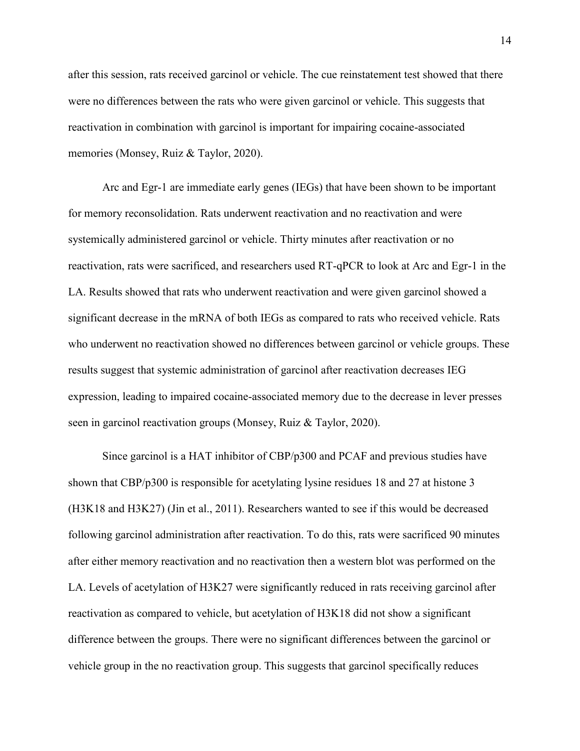after this session, rats received garcinol or vehicle. The cue reinstatement test showed that there were no differences between the rats who were given garcinol or vehicle. This suggests that reactivation in combination with garcinol is important for impairing cocaine-associated memories (Monsey, Ruiz & Taylor, 2020).

Arc and Egr-1 are immediate early genes (IEGs) that have been shown to be important for memory reconsolidation. Rats underwent reactivation and no reactivation and were systemically administered garcinol or vehicle. Thirty minutes after reactivation or no reactivation, rats were sacrificed, and researchers used RT-qPCR to look at Arc and Egr-1 in the LA. Results showed that rats who underwent reactivation and were given garcinol showed a significant decrease in the mRNA of both IEGs as compared to rats who received vehicle. Rats who underwent no reactivation showed no differences between garcinol or vehicle groups. These results suggest that systemic administration of garcinol after reactivation decreases IEG expression, leading to impaired cocaine-associated memory due to the decrease in lever presses seen in garcinol reactivation groups (Monsey, Ruiz & Taylor, 2020).

Since garcinol is a HAT inhibitor of CBP/p300 and PCAF and previous studies have shown that CBP/p300 is responsible for acetylating lysine residues 18 and 27 at histone 3 (H3K18 and H3K27) (Jin et al., 2011). Researchers wanted to see if this would be decreased following garcinol administration after reactivation. To do this, rats were sacrificed 90 minutes after either memory reactivation and no reactivation then a western blot was performed on the LA. Levels of acetylation of H3K27 were significantly reduced in rats receiving garcinol after reactivation as compared to vehicle, but acetylation of H3K18 did not show a significant difference between the groups. There were no significant differences between the garcinol or vehicle group in the no reactivation group. This suggests that garcinol specifically reduces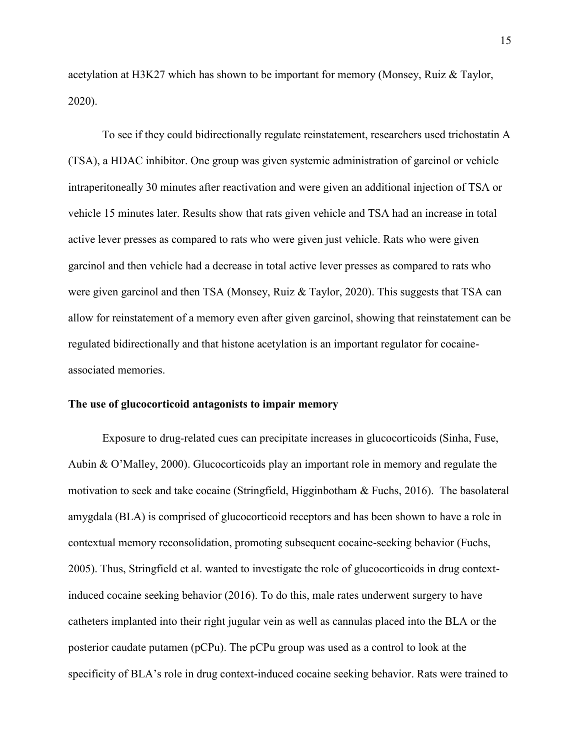acetylation at H3K27 which has shown to be important for memory (Monsey, Ruiz & Taylor, 2020).

To see if they could bidirectionally regulate reinstatement, researchers used trichostatin A (TSA), a HDAC inhibitor. One group was given systemic administration of garcinol or vehicle intraperitoneally 30 minutes after reactivation and were given an additional injection of TSA or vehicle 15 minutes later. Results show that rats given vehicle and TSA had an increase in total active lever presses as compared to rats who were given just vehicle. Rats who were given garcinol and then vehicle had a decrease in total active lever presses as compared to rats who were given garcinol and then TSA (Monsey, Ruiz & Taylor, 2020). This suggests that TSA can allow for reinstatement of a memory even after given garcinol, showing that reinstatement can be regulated bidirectionally and that histone acetylation is an important regulator for cocaineassociated memories.

#### **The use of glucocorticoid antagonists to impair memory**

Exposure to drug-related cues can precipitate increases in glucocorticoids (Sinha, Fuse, Aubin & O'Malley, 2000). Glucocorticoids play an important role in memory and regulate the motivation to seek and take cocaine (Stringfield, Higginbotham & Fuchs, 2016). The basolateral amygdala (BLA) is comprised of glucocorticoid receptors and has been shown to have a role in contextual memory reconsolidation, promoting subsequent cocaine-seeking behavior (Fuchs, 2005). Thus, Stringfield et al. wanted to investigate the role of glucocorticoids in drug contextinduced cocaine seeking behavior (2016). To do this, male rates underwent surgery to have catheters implanted into their right jugular vein as well as cannulas placed into the BLA or the posterior caudate putamen (pCPu). The pCPu group was used as a control to look at the specificity of BLA's role in drug context-induced cocaine seeking behavior. Rats were trained to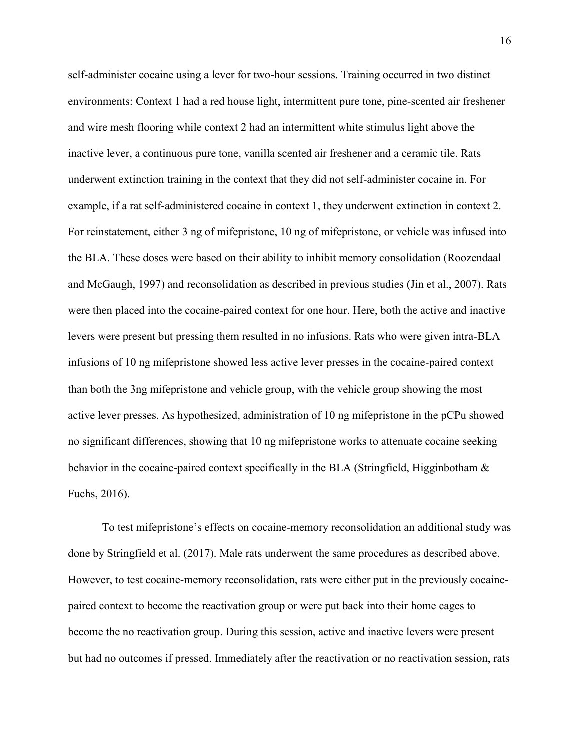self-administer cocaine using a lever for two-hour sessions. Training occurred in two distinct environments: Context 1 had a red house light, intermittent pure tone, pine-scented air freshener and wire mesh flooring while context 2 had an intermittent white stimulus light above the inactive lever, a continuous pure tone, vanilla scented air freshener and a ceramic tile. Rats underwent extinction training in the context that they did not self-administer cocaine in. For example, if a rat self-administered cocaine in context 1, they underwent extinction in context 2. For reinstatement, either 3 ng of mifepristone, 10 ng of mifepristone, or vehicle was infused into the BLA. These doses were based on their ability to inhibit memory consolidation (Roozendaal and McGaugh, 1997) and reconsolidation as described in previous studies (Jin et al., 2007). Rats were then placed into the cocaine-paired context for one hour. Here, both the active and inactive levers were present but pressing them resulted in no infusions. Rats who were given intra-BLA infusions of 10 ng mifepristone showed less active lever presses in the cocaine-paired context than both the 3ng mifepristone and vehicle group, with the vehicle group showing the most active lever presses. As hypothesized, administration of 10 ng mifepristone in the pCPu showed no significant differences, showing that 10 ng mifepristone works to attenuate cocaine seeking behavior in the cocaine-paired context specifically in the BLA (Stringfield, Higginbotham  $\&$ Fuchs, 2016).

To test mifepristone's effects on cocaine-memory reconsolidation an additional study was done by Stringfield et al. (2017). Male rats underwent the same procedures as described above. However, to test cocaine-memory reconsolidation, rats were either put in the previously cocainepaired context to become the reactivation group or were put back into their home cages to become the no reactivation group. During this session, active and inactive levers were present but had no outcomes if pressed. Immediately after the reactivation or no reactivation session, rats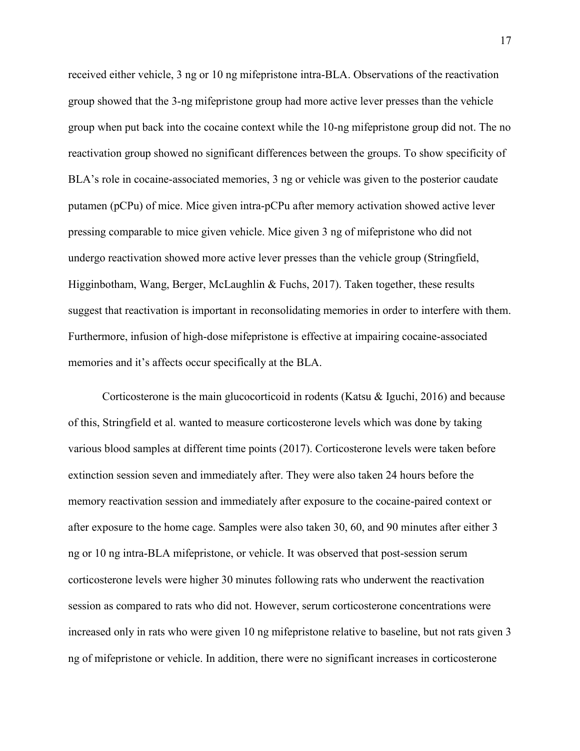received either vehicle, 3 ng or 10 ng mifepristone intra-BLA. Observations of the reactivation group showed that the 3-ng mifepristone group had more active lever presses than the vehicle group when put back into the cocaine context while the 10-ng mifepristone group did not. The no reactivation group showed no significant differences between the groups. To show specificity of BLA's role in cocaine-associated memories, 3 ng or vehicle was given to the posterior caudate putamen (pCPu) of mice. Mice given intra-pCPu after memory activation showed active lever pressing comparable to mice given vehicle. Mice given 3 ng of mifepristone who did not undergo reactivation showed more active lever presses than the vehicle group (Stringfield, Higginbotham, Wang, Berger, McLaughlin & Fuchs, 2017). Taken together, these results suggest that reactivation is important in reconsolidating memories in order to interfere with them. Furthermore, infusion of high-dose mifepristone is effective at impairing cocaine-associated memories and it's affects occur specifically at the BLA.

Corticosterone is the main glucocorticoid in rodents (Katsu & Iguchi, 2016) and because of this, Stringfield et al. wanted to measure corticosterone levels which was done by taking various blood samples at different time points (2017). Corticosterone levels were taken before extinction session seven and immediately after. They were also taken 24 hours before the memory reactivation session and immediately after exposure to the cocaine-paired context or after exposure to the home cage. Samples were also taken 30, 60, and 90 minutes after either 3 ng or 10 ng intra-BLA mifepristone, or vehicle. It was observed that post-session serum corticosterone levels were higher 30 minutes following rats who underwent the reactivation session as compared to rats who did not. However, serum corticosterone concentrations were increased only in rats who were given 10 ng mifepristone relative to baseline, but not rats given 3 ng of mifepristone or vehicle. In addition, there were no significant increases in corticosterone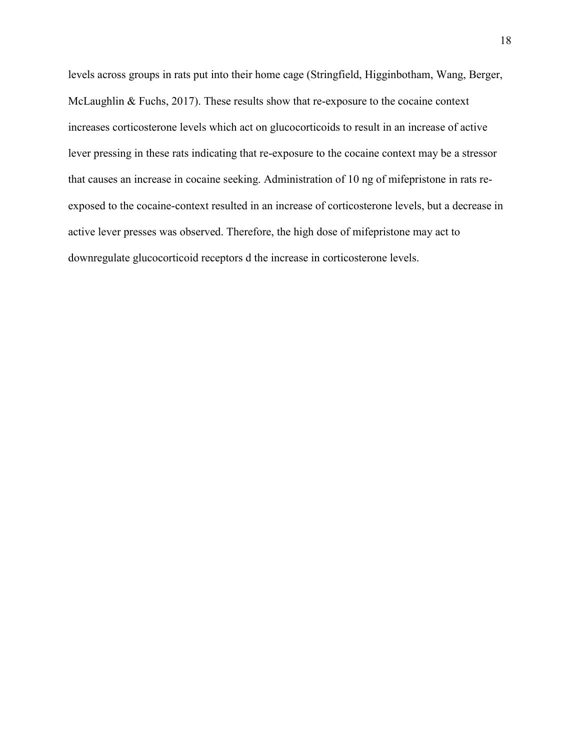levels across groups in rats put into their home cage (Stringfield, Higginbotham, Wang, Berger, McLaughlin & Fuchs, 2017). These results show that re-exposure to the cocaine context increases corticosterone levels which act on glucocorticoids to result in an increase of active lever pressing in these rats indicating that re-exposure to the cocaine context may be a stressor that causes an increase in cocaine seeking. Administration of 10 ng of mifepristone in rats reexposed to the cocaine-context resulted in an increase of corticosterone levels, but a decrease in active lever presses was observed. Therefore, the high dose of mifepristone may act to downregulate glucocorticoid receptors d the increase in corticosterone levels.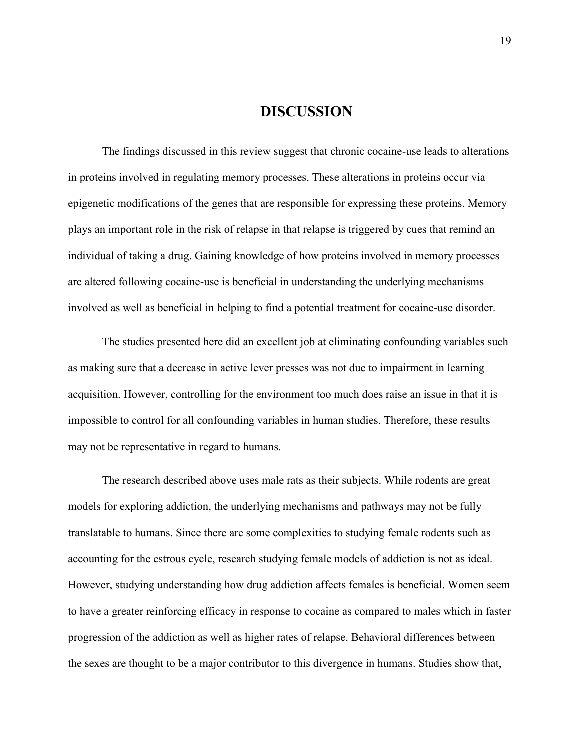## **DISCUSSION**

The findings discussed in this review suggest that chronic cocaine-use leads to alterations in proteins involved in regulating memory processes. These alterations in proteins occur via epigenetic modifications of the genes that are responsible for expressing these proteins. Memory plays an important role in the risk of relapse in that relapse is triggered by cues that remind an individual of taking a drug. Gaining knowledge of how proteins involved in memory processes are altered following cocaine-use is beneficial in understanding the underlying mechanisms involved as well as beneficial in helping to find a potential treatment for cocaine-use disorder.

The studies presented here did an excellent job at eliminating confounding variables such as making sure that a decrease in active lever presses was not due to impairment in learning acquisition. However, controlling for the environment too much does raise an issue in that it is impossible to control for all confounding variables in human studies. Therefore, these results may not be representative in regard to humans.

The research described above uses male rats as their subjects. While rodents are great models for exploring addiction, the underlying mechanisms and pathways may not be fully translatable to humans. Since there are some complexities to studying female rodents such as accounting for the estrous cycle, research studying female models of addiction is not as ideal. However, studying understanding how drug addiction affects females is beneficial. Women seem to have a greater reinforcing efficacy in response to cocaine as compared to males which in faster progression of the addiction as well as higher rates of relapse. Behavioral differences between the sexes are thought to be a major contributor to this divergence in humans. Studies show that,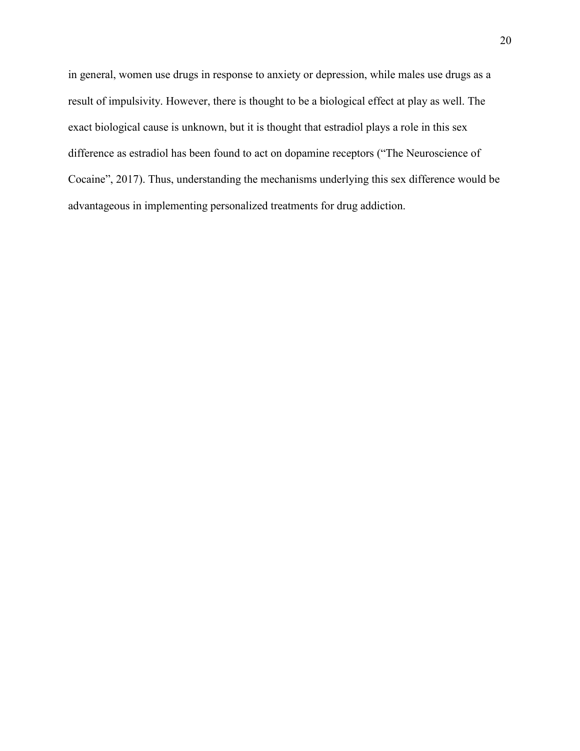in general, women use drugs in response to anxiety or depression, while males use drugs as a result of impulsivity. However, there is thought to be a biological effect at play as well. The exact biological cause is unknown, but it is thought that estradiol plays a role in this sex difference as estradiol has been found to act on dopamine receptors ("The Neuroscience of Cocaine", 2017). Thus, understanding the mechanisms underlying this sex difference would be advantageous in implementing personalized treatments for drug addiction.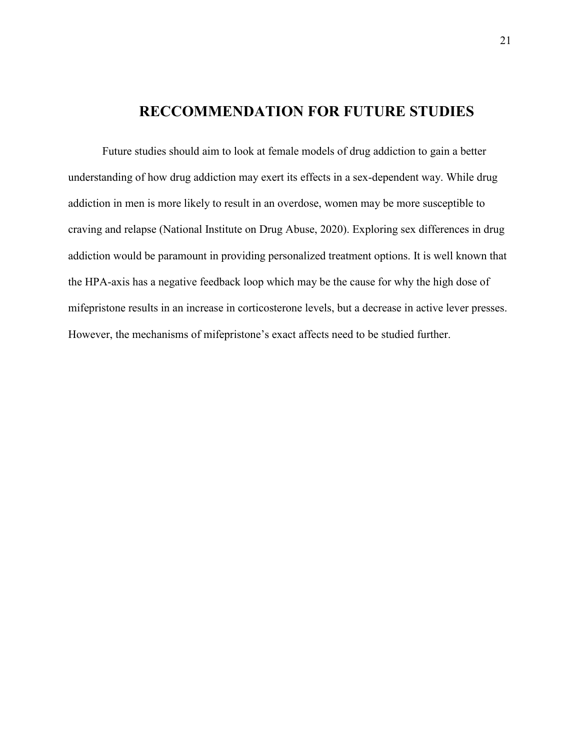## **RECCOMMENDATION FOR FUTURE STUDIES**

Future studies should aim to look at female models of drug addiction to gain a better understanding of how drug addiction may exert its effects in a sex-dependent way. While drug addiction in men is more likely to result in an overdose, women may be more susceptible to craving and relapse (National Institute on Drug Abuse, 2020). Exploring sex differences in drug addiction would be paramount in providing personalized treatment options. It is well known that the HPA-axis has a negative feedback loop which may be the cause for why the high dose of mifepristone results in an increase in corticosterone levels, but a decrease in active lever presses. However, the mechanisms of mifepristone's exact affects need to be studied further.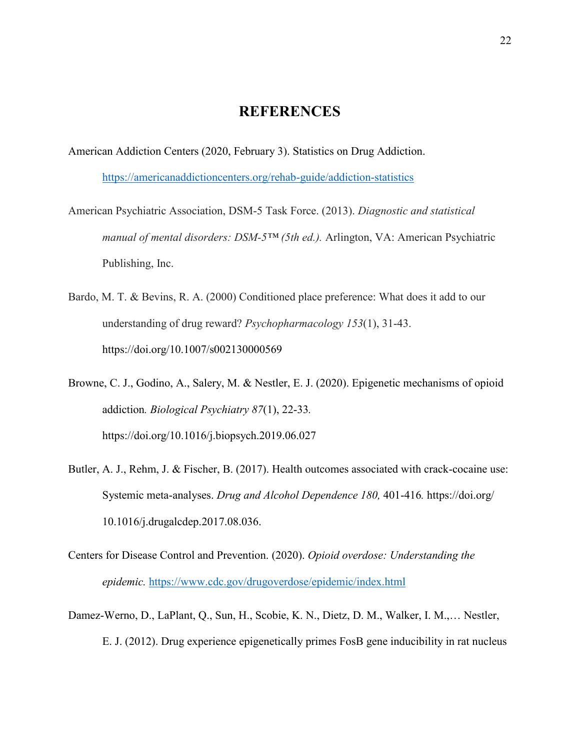## **REFERENCES**

American Addiction Centers (2020, February 3). Statistics on Drug Addiction.

<https://americanaddictioncenters.org/rehab-guide/addiction-statistics>

- American Psychiatric Association, DSM-5 Task Force. (2013). *Diagnostic and statistical manual of mental disorders: DSM-5™ (5th ed.).* Arlington, VA: American Psychiatric Publishing, Inc.
- Bardo, M. T. & Bevins, R. A. (2000) Conditioned place preference: What does it add to our understanding of drug reward? *Psychopharmacology 153*(1), 31-43. https://doi.org/10.1007/s002130000569
- Browne, C. J., Godino, A., Salery, M. & Nestler, E. J. (2020). Epigenetic mechanisms of opioid addiction*. Biological Psychiatry 87*(1), 22-33*.* https://doi.org/10.1016/j.biopsych.2019.06.027
- Butler, A. J., Rehm, J. & Fischer, B. (2017). Health outcomes associated with crack-cocaine use: Systemic meta-analyses. *Drug and Alcohol Dependence 180,* 401-416*.* https://doi.org/ 10.1016/j.drugalcdep.2017.08.036.
- Centers for Disease Control and Prevention. (2020). *Opioid overdose: Understanding the epidemic.* <https://www.cdc.gov/drugoverdose/epidemic/index.html>
- Damez-Werno, D., LaPlant, Q., Sun, H., Scobie, K. N., Dietz, D. M., Walker, I. M.,… Nestler, E. J. (2012). Drug experience epigenetically primes FosB gene inducibility in rat nucleus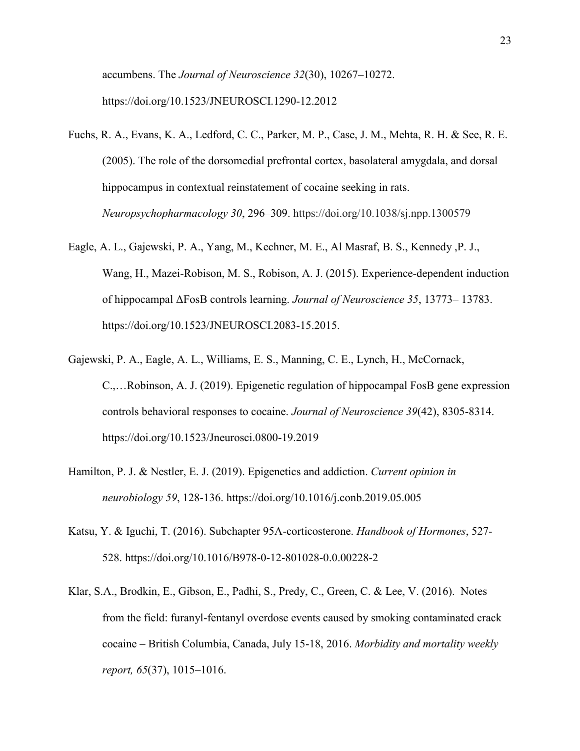accumbens. The *Journal of Neuroscience 32*(30), 10267–10272. https://doi.org/10.1523/JNEUROSCI.1290-12.2012

- Fuchs, R. A., Evans, K. A., Ledford, C. C., Parker, M. P., Case, J. M., Mehta, R. H. & See, R. E. (2005). The role of the dorsomedial prefrontal cortex, basolateral amygdala, and dorsal hippocampus in contextual reinstatement of cocaine seeking in rats. *Neuropsychopharmacology 30*, 296–309. https://doi.org/10.1038/sj.npp.1300579
- Eagle, A. L., Gajewski, P. A., Yang, M., Kechner, M. E., Al Masraf, B. S., Kennedy ,P. J., Wang, H., Mazei-Robison, M. S., Robison, A. J. (2015). Experience-dependent induction of hippocampal ΔFosB controls learning. *Journal of Neuroscience 35*, 13773– 13783. https://doi.org/10.1523/JNEUROSCI.2083-15.2015.
- Gajewski, P. A., Eagle, A. L., Williams, E. S., Manning, C. E., Lynch, H., McCornack, C.,…Robinson, A. J. (2019). Epigenetic regulation of hippocampal FosB gene expression controls behavioral responses to cocaine. *Journal of Neuroscience 39*(42), 8305-8314. https://doi.org/10.1523/Jneurosci.0800-19.2019
- Hamilton, P. J. & Nestler, E. J. (2019). Epigenetics and addiction. *Current opinion in neurobiology 59*, 128-136. https://doi.org/10.1016/j.conb.2019.05.005
- Katsu, Y. & Iguchi, T. (2016). Subchapter 95A-corticosterone. *Handbook of Hormones*, 527- 528. https://doi.org/10.1016/B978-0-12-801028-0.0.00228-2
- Klar, S.A., Brodkin, E., Gibson, E., Padhi, S., Predy, C., Green, C. & Lee, V. (2016). Notes from the field: furanyl-fentanyl overdose events caused by smoking contaminated crack cocaine – British Columbia, Canada, July 15-18, 2016. *Morbidity and mortality weekly report, 65*(37), 1015–1016.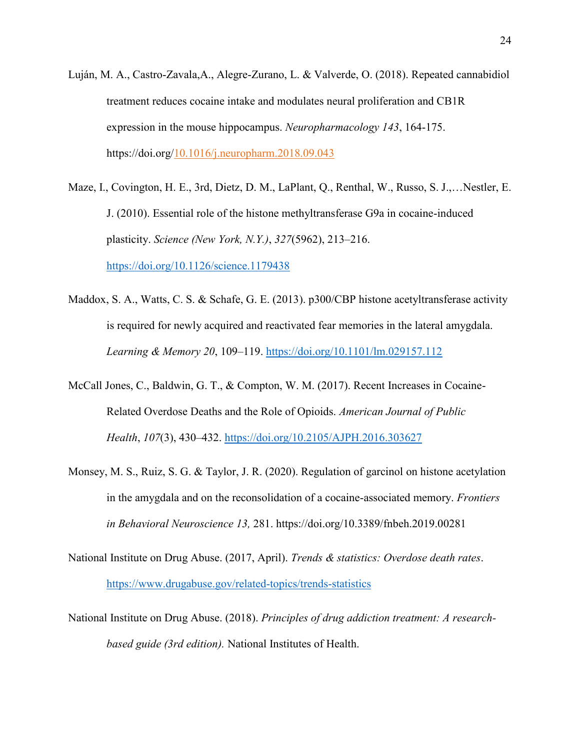- Luján, M. A., Castro-Zavala,A., Alegre-Zurano, L. & Valverde, O. (2018). Repeated cannabidiol treatment reduces cocaine intake and modulates neural proliferation and CB1R expression in the mouse hippocampus. *Neuropharmacology 143*, 164-175. https://doi.org[/10.1016/j.neuropharm.2018.09.043](https://doi.org/10.1016/j.neuropharm.2018.09.043)
- Maze, I., Covington, H. E., 3rd, Dietz, D. M., LaPlant, Q., Renthal, W., Russo, S. J.,…Nestler, E. J. (2010). Essential role of the histone methyltransferase G9a in cocaine-induced plasticity. *Science (New York, N.Y.)*, *327*(5962), 213–216. <https://doi.org/10.1126/science.1179438>
- Maddox, S. A., Watts, C. S. & Schafe, G. E. (2013). p300/CBP histone acetyltransferase activity is required for newly acquired and reactivated fear memories in the lateral amygdala. *Learning & Memory 20*, 109–119.<https://doi.org/10.1101/lm.029157.112>
- McCall Jones, C., Baldwin, G. T., & Compton, W. M. (2017). Recent Increases in Cocaine-Related Overdose Deaths and the Role of Opioids. *American Journal of Public Health*, *107*(3), 430–432.<https://doi.org/10.2105/AJPH.2016.303627>
- Monsey, M. S., Ruiz, S. G. & Taylor, J. R. (2020). Regulation of garcinol on histone acetylation in the amygdala and on the reconsolidation of a cocaine-associated memory. *Frontiers in Behavioral Neuroscience 13,* 281. https://doi.org/10.3389/fnbeh.2019.00281
- National Institute on Drug Abuse. (2017, April). *Trends & statistics: Overdose death rates*. <https://www.drugabuse.gov/related-topics/trends-statistics>
- National Institute on Drug Abuse. (2018). *Principles of drug addiction treatment: A researchbased guide (3rd edition).* National Institutes of Health.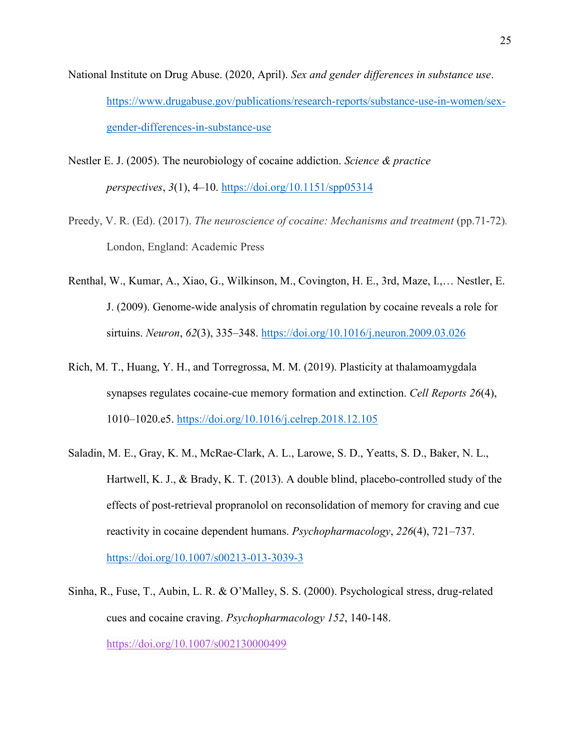- National Institute on Drug Abuse. (2020, April). *Sex and gender differences in substance use*. [https://www.drugabuse.gov/publications/research-reports/substance-use-in-women/sex](https://www.drugabuse.gov/publications/research-reports/substance-use-in-women/sex-gender-differences-in-substance-use)[gender-differences-in-substance-use](https://www.drugabuse.gov/publications/research-reports/substance-use-in-women/sex-gender-differences-in-substance-use)
- Nestler E. J. (2005). The neurobiology of cocaine addiction. *Science & practice perspectives*, *3*(1), 4–10.<https://doi.org/10.1151/spp05314>
- Preedy, V. R. (Ed). (2017). *The neuroscience of cocaine: Mechanisms and treatment* (pp.71-72). London, England: Academic Press
- Renthal, W., Kumar, A., Xiao, G., Wilkinson, M., Covington, H. E., 3rd, Maze, I.,… Nestler, E. J. (2009). Genome-wide analysis of chromatin regulation by cocaine reveals a role for sirtuins. *Neuron*, *62*(3), 335–348.<https://doi.org/10.1016/j.neuron.2009.03.026>
- Rich, M. T., Huang, Y. H., and Torregrossa, M. M. (2019). Plasticity at thalamoamygdala synapses regulates cocaine-cue memory formation and extinction. *Cell Reports 26*(4), 1010–1020.e5.<https://doi.org/10.1016/j.celrep.2018.12.105>
- Saladin, M. E., Gray, K. M., McRae-Clark, A. L., Larowe, S. D., Yeatts, S. D., Baker, N. L., Hartwell, K. J., & Brady, K. T. (2013). A double blind, placebo-controlled study of the effects of post-retrieval propranolol on reconsolidation of memory for craving and cue reactivity in cocaine dependent humans. *Psychopharmacology*, *226*(4), 721–737. <https://doi.org/10.1007/s00213-013-3039-3>
- Sinha, R., Fuse, T., Aubin, L. R. & O'Malley, S. S. (2000). Psychological stress, drug-related cues and cocaine craving. *Psychopharmacology 152*, 140-148. <https://doi.org/10.1007/s002130000499>